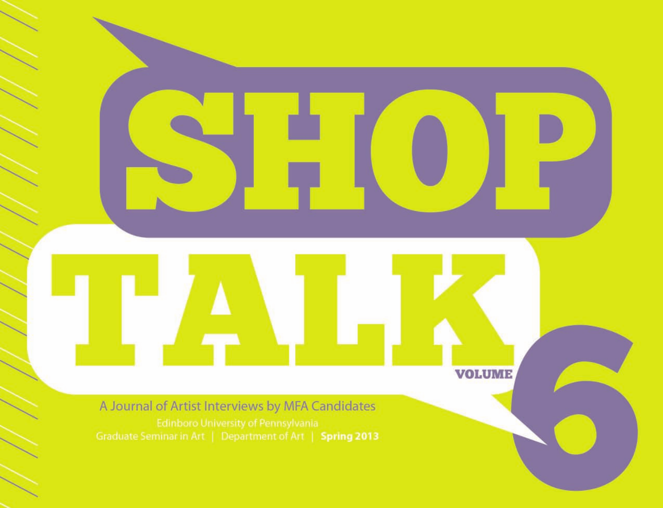**VOLUME** 

A Journal of Artist Interviews by MFA Candidates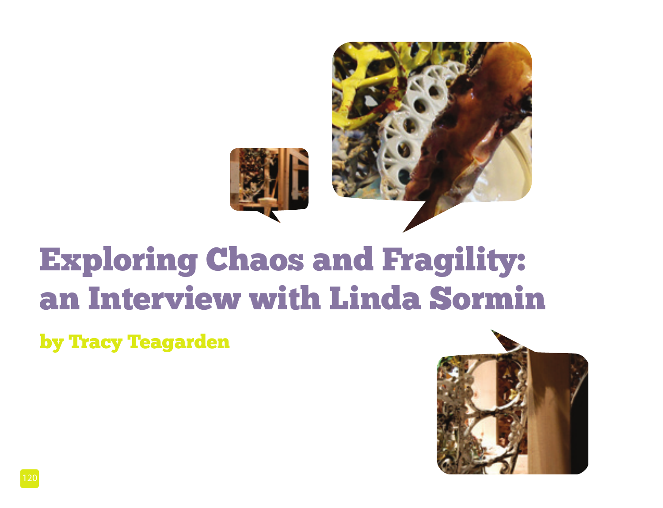

## Exploring Chaos and Fragility: an Interview with Linda Sormin

by Tracy Teagarden

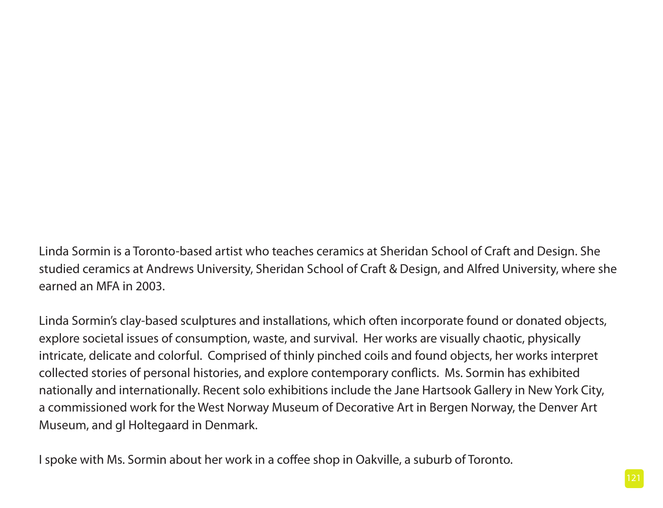Linda Sormin is a Toronto-based artist who teaches ceramics at Sheridan School of Craft and Design. She studied ceramics at Andrews University, Sheridan School of Craft & Design, and Alfred University, where she earned an MFA in 2003.

Linda Sormin's clay-based sculptures and installations, which often incorporate found or donated objects, explore societal issues of consumption, waste, and survival. Her works are visually chaotic, physically intricate, delicate and colorful. Comprised of thinly pinched coils and found objects, her works interpret collected stories of personal histories, and explore contemporary conflicts. Ms. Sormin has exhibited nationally and internationally. Recent solo exhibitions include the Jane Hartsook Gallery in New York City, a commissioned work for the West Norway Museum of Decorative Art in Bergen Norway, the Denver Art Museum, and gl Holtegaard in Denmark.

I spoke with Ms. Sormin about her work in a coffee shop in Oakville, a suburb of Toronto.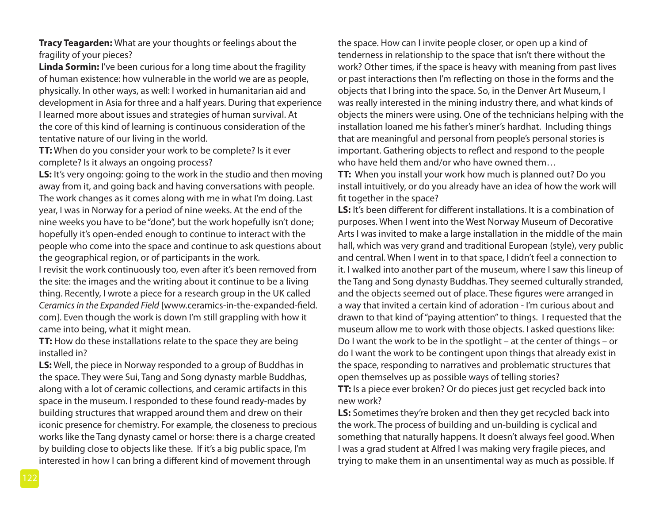**Tracy Teagarden:** What are your thoughts or feelings about the fragility of your pieces?

**Linda Sormin:** I've been curious for a long time about the fragility of human existence: how vulnerable in the world we are as people, physically. In other ways, as well: I worked in humanitarian aid and development in Asia for three and a half years. During that experience I learned more about issues and strategies of human survival. At the core of this kind of learning is continuous consideration of the tentative nature of our living in the world.

**TT:** When do you consider your work to be complete? Is it ever complete? Is it always an ongoing process?

**LS:** It's very ongoing: going to the work in the studio and then moving away from it, and going back and having conversations with people. The work changes as it comes along with me in what I'm doing. Last year, I was in Norway for a period of nine weeks. At the end of the nine weeks you have to be "done", but the work hopefully isn't done; hopefully it's open-ended enough to continue to interact with the people who come into the space and continue to ask questions about the geographical region, or of participants in the work.

I revisit the work continuously too, even after it's been removed from the site: the images and the writing about it continue to be a living thing. Recently, I wrote a piece for a research group in the UK called *Ceramics in the Expanded Field* [www.ceramics-in-the-expanded-field. com]. Even though the work is down I'm still grappling with how it came into being, what it might mean.

**TT:** How do these installations relate to the space they are being installed in?

**LS:** Well, the piece in Norway responded to a group of Buddhas in the space. They were Sui, Tang and Song dynasty marble Buddhas, along with a lot of ceramic collections, and ceramic artifacts in this space in the museum. I responded to these found ready-mades by building structures that wrapped around them and drew on their iconic presence for chemistry. For example, the closeness to precious works like the Tang dynasty camel or horse: there is a charge created by building close to objects like these. If it's a big public space, I'm interested in how I can bring a different kind of movement through

the space. How can I invite people closer, or open up a kind of tenderness in relationship to the space that isn't there without the work? Other times, if the space is heavy with meaning from past lives or past interactions then I'm reflecting on those in the forms and the objects that I bring into the space. So, in the Denver Art Museum, I was really interested in the mining industry there, and what kinds of objects the miners were using. One of the technicians helping with the installation loaned me his father's miner's hardhat. Including things that are meaningful and personal from people's personal stories is important. Gathering objects to reflect and respond to the people who have held them and/or who have owned them…

**TT:** When you install your work how much is planned out? Do you install intuitively, or do you already have an idea of how the work will fit together in the space?

**LS:** It's been different for different installations. It is a combination of purposes. When I went into the West Norway Museum of Decorative Arts I was invited to make a large installation in the middle of the main hall, which was very grand and traditional European (style), very public and central. When I went in to that space, I didn't feel a connection to it. I walked into another part of the museum, where I saw this lineup of the Tang and Song dynasty Buddhas. They seemed culturally stranded, and the objects seemed out of place. These figures were arranged in a way that invited a certain kind of adoration - I'm curious about and drawn to that kind of "paying attention" to things. I requested that the museum allow me to work with those objects. I asked questions like: Do I want the work to be in the spotlight – at the center of things – or do I want the work to be contingent upon things that already exist in the space, responding to narratives and problematic structures that open themselves up as possible ways of telling stories?

**TT:** Is a piece ever broken? Or do pieces just get recycled back into new work?

**LS:** Sometimes they're broken and then they get recycled back into the work. The process of building and un-building is cyclical and something that naturally happens. It doesn't always feel good. When I was a grad student at Alfred I was making very fragile pieces, and trying to make them in an unsentimental way as much as possible. If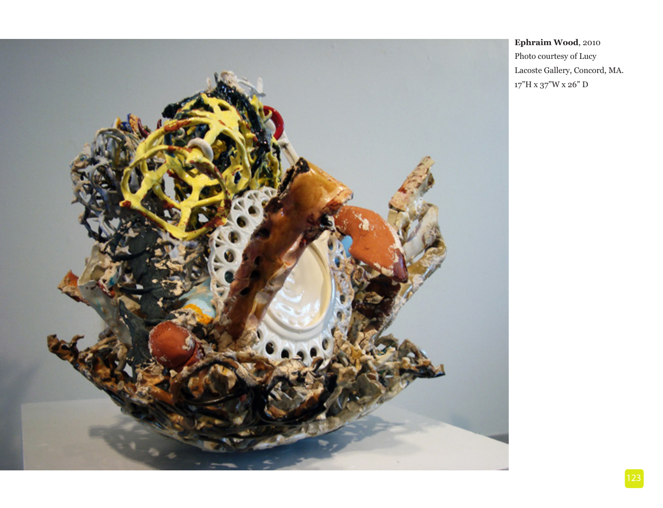

**Ephraim Wood**, 2010 Photo courtesy of Lucy Lacoste Gallery, Concord, MA. 17"H x 37"W x 26" D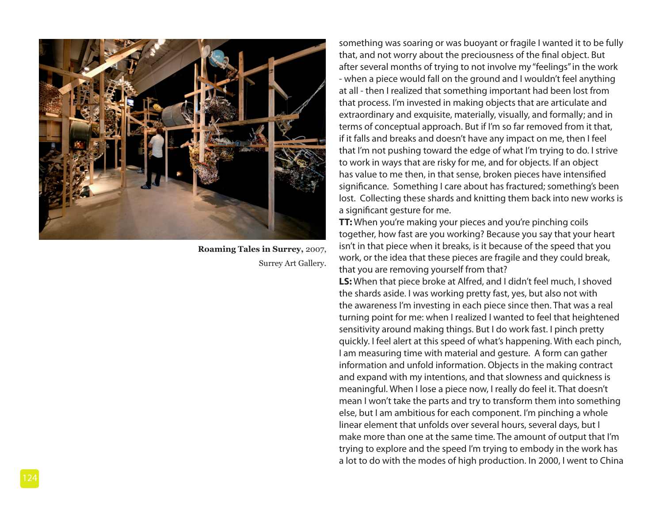![](_page_5_Picture_0.jpeg)

**Roaming Tales in Surrey,** 2007, Surrey Art Gallery.

something was soaring or was buoyant or fragile I wanted it to be fully that, and not worry about the preciousness of the final object. But after several months of trying to not involve my "feelings" in the work - when a piece would fall on the ground and I wouldn't feel anything at all - then I realized that something important had been lost from that process. I'm invested in making objects that are articulate and extraordinary and exquisite, materially, visually, and formally; and in terms of conceptual approach. But if I'm so far removed from it that, if it falls and breaks and doesn't have any impact on me, then I feel that I'm not pushing toward the edge of what I'm trying to do. I strive to work in ways that are risky for me, and for objects. If an object has value to me then, in that sense, broken pieces have intensified significance. Something I care about has fractured; something's been lost. Collecting these shards and knitting them back into new works is a significant gesture for me.

**TT:** When you're making your pieces and you're pinching coils together, how fast are you working? Because you say that your heart isn't in that piece when it breaks, is it because of the speed that you work, or the idea that these pieces are fragile and they could break, that you are removing yourself from that?

**LS:** When that piece broke at Alfred, and I didn't feel much, I shoved the shards aside. I was working pretty fast, yes, but also not with the awareness I'm investing in each piece since then. That was a real turning point for me: when I realized I wanted to feel that heightened sensitivity around making things. But I do work fast. I pinch pretty quickly. I feel alert at this speed of what's happening. With each pinch, I am measuring time with material and gesture. A form can gather information and unfold information. Objects in the making contract and expand with my intentions, and that slowness and quickness is meaningful. When I lose a piece now, I really do feel it. That doesn't mean I won't take the parts and try to transform them into something else, but I am ambitious for each component. I'm pinching a whole linear element that unfolds over several hours, several days, but I make more than one at the same time. The amount of output that I'm trying to explore and the speed I'm trying to embody in the work has a lot to do with the modes of high production. In 2000, I went to China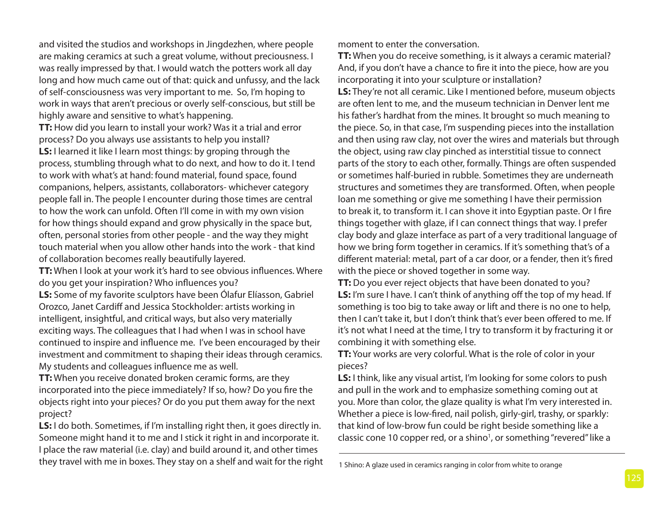and visited the studios and workshops in Jingdezhen, where people are making ceramics at such a great volume, without preciousness. I was really impressed by that. I would watch the potters work all day long and how much came out of that: quick and unfussy, and the lack of self-consciousness was very important to me. So, I'm hoping to work in ways that aren't precious or overly self-conscious, but still be highly aware and sensitive to what's happening.

**TT:** How did you learn to install your work? Was it a trial and error process? Do you always use assistants to help you install? **LS:** I learned it like I learn most things: by groping through the process, stumbling through what to do next, and how to do it. I tend to work with what's at hand: found material, found space, found companions, helpers, assistants, collaborators- whichever category people fall in. The people I encounter during those times are central to how the work can unfold. Often I'll come in with my own vision for how things should expand and grow physically in the space but, often, personal stories from other people - and the way they might touch material when you allow other hands into the work - that kind of collaboration becomes really beautifully layered.

**TT:** When I look at your work it's hard to see obvious influences. Where do you get your inspiration? Who influences you?

**LS:** Some of my favorite sculptors have been Ólafur Elíasson, Gabriel Orozco, Janet Cardiff and Jessica Stockholder: artists working in intelligent, insightful, and critical ways, but also very materially exciting ways. The colleagues that I had when I was in school have continued to inspire and influence me. I've been encouraged by their investment and commitment to shaping their ideas through ceramics. My students and colleagues influence me as well.

**TT:** When you receive donated broken ceramic forms, are they incorporated into the piece immediately? If so, how? Do you fire the objects right into your pieces? Or do you put them away for the next project?

**LS:** I do both. Sometimes, if I'm installing right then, it goes directly in. Someone might hand it to me and I stick it right in and incorporate it. I place the raw material (i.e. clay) and build around it, and other times they travel with me in boxes. They stay on a shelf and wait for the right moment to enter the conversation.

**TT:** When you do receive something, is it always a ceramic material? And, if you don't have a chance to fire it into the piece, how are you incorporating it into your sculpture or installation?

**LS:** They're not all ceramic. Like I mentioned before, museum objects are often lent to me, and the museum technician in Denver lent me his father's hardhat from the mines. It brought so much meaning to the piece. So, in that case, I'm suspending pieces into the installation and then using raw clay, not over the wires and materials but through the object, using raw clay pinched as interstitial tissue to connect parts of the story to each other, formally. Things are often suspended or sometimes half-buried in rubble. Sometimes they are underneath structures and sometimes they are transformed. Often, when people loan me something or give me something I have their permission to break it, to transform it. I can shove it into Egyptian paste. Or I fire things together with glaze, if I can connect things that way. I prefer clay body and glaze interface as part of a very traditional language of how we bring form together in ceramics. If it's something that's of a different material: metal, part of a car door, or a fender, then it's fired with the piece or shoved together in some way.

**TT:** Do you ever reject objects that have been donated to you? LS: I'm sure I have. I can't think of anything off the top of my head. If something is too big to take away or lift and there is no one to help, then I can't take it, but I don't think that's ever been offered to me. If it's not what I need at the time, I try to transform it by fracturing it or combining it with something else.

**TT:** Your works are very colorful. What is the role of color in your pieces?

**LS:** I think, like any visual artist, I'm looking for some colors to push and pull in the work and to emphasize something coming out at you. More than color, the glaze quality is what I'm very interested in. Whether a piece is low-fired, nail polish, girly-girl, trashy, or sparkly: that kind of low-brow fun could be right beside something like a classic cone 10 copper red, or a shino<sup>1</sup>, or something "revered" like a

<sup>1</sup> Shino: A glaze used in ceramics ranging in color from white to orange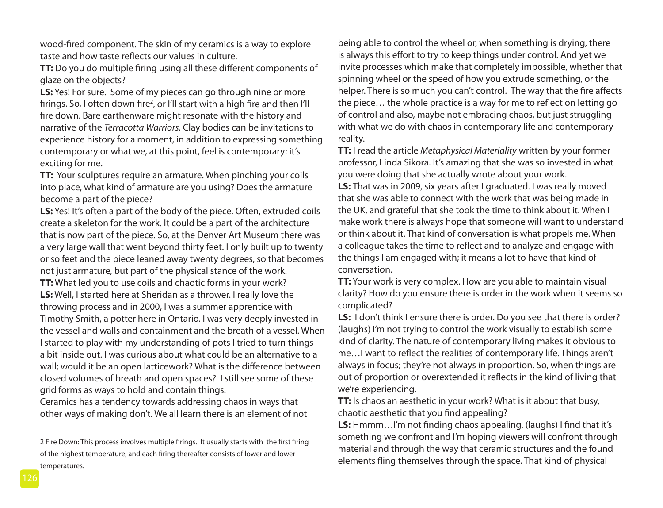wood-fired component. The skin of my ceramics is a way to explore taste and how taste reflects our values in culture.

**TT:** Do you do multiple firing using all these different components of glaze on the objects?

**LS:** Yes! For sure. Some of my pieces can go through nine or more firings. So, I often down fire<sup>2</sup>, or I'll start with a high fire and then I'll fire down. Bare earthenware might resonate with the history and narrative of the *Terracotta Warriors.* Clay bodies can be invitations to experience history for a moment, in addition to expressing something contemporary or what we, at this point, feel is contemporary: it's exciting for me.

**TT:** Your sculptures require an armature. When pinching your coils into place, what kind of armature are you using? Does the armature become a part of the piece?

**LS:** Yes! It's often a part of the body of the piece. Often, extruded coils create a skeleton for the work. It could be a part of the architecture that is now part of the piece. So, at the Denver Art Museum there was a very large wall that went beyond thirty feet. I only built up to twenty or so feet and the piece leaned away twenty degrees, so that becomes not just armature, but part of the physical stance of the work.

**TT:** What led you to use coils and chaotic forms in your work? **LS:** Well, I started here at Sheridan as a thrower. I really love the throwing process and in 2000, I was a summer apprentice with Timothy Smith, a potter here in Ontario. I was very deeply invested in the vessel and walls and containment and the breath of a vessel. When I started to play with my understanding of pots I tried to turn things a bit inside out. I was curious about what could be an alternative to a wall; would it be an open latticework? What is the difference between closed volumes of breath and open spaces? I still see some of these grid forms as ways to hold and contain things.

Ceramics has a tendency towards addressing chaos in ways that other ways of making don't. We all learn there is an element of not being able to control the wheel or, when something is drying, there is always this effort to try to keep things under control. And yet we invite processes which make that completely impossible, whether that spinning wheel or the speed of how you extrude something, or the helper. There is so much you can't control. The way that the fire affects the piece… the whole practice is a way for me to reflect on letting go of control and also, maybe not embracing chaos, but just struggling with what we do with chaos in contemporary life and contemporary reality.

**TT:** I read the article *Metaphysical Materiality* written by your former professor, Linda Sikora. It's amazing that she was so invested in what you were doing that she actually wrote about your work.

**LS:** That was in 2009, six years after I graduated. I was really moved that she was able to connect with the work that was being made in the UK, and grateful that she took the time to think about it. When I make work there is always hope that someone will want to understand or think about it. That kind of conversation is what propels me. When a colleague takes the time to reflect and to analyze and engage with the things I am engaged with; it means a lot to have that kind of conversation.

**TT:** Your work is very complex. How are you able to maintain visual clarity? How do you ensure there is order in the work when it seems so complicated?

LS: I don't think I ensure there is order. Do you see that there is order? (laughs) I'm not trying to control the work visually to establish some kind of clarity. The nature of contemporary living makes it obvious to me…I want to reflect the realities of contemporary life. Things aren't always in focus; they're not always in proportion. So, when things are out of proportion or overextended it reflects in the kind of living that we're experiencing.

**TT:** Is chaos an aesthetic in your work? What is it about that busy, chaotic aesthetic that you find appealing?

**LS:** Hmmm…I'm not finding chaos appealing. (laughs) I find that it's something we confront and I'm hoping viewers will confront through material and through the way that ceramic structures and the found elements fling themselves through the space. That kind of physical

<sup>2</sup> Fire Down: This process involves multiple firings. It usually starts with the first firing of the highest temperature, and each firing thereafter consists of lower and lower temperatures.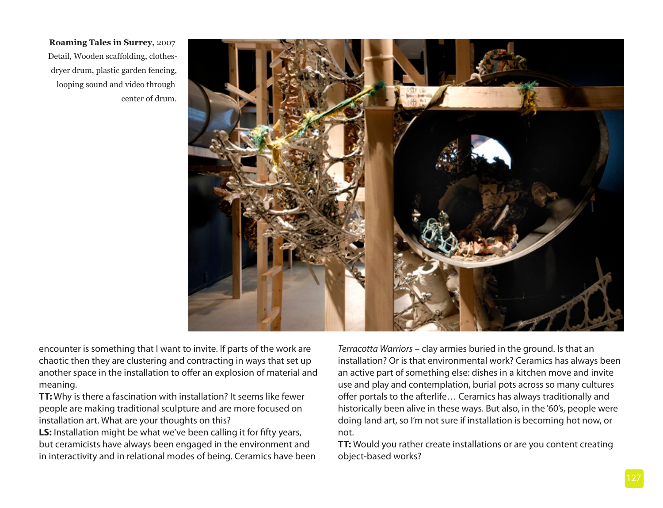**Roaming Tales in Surrey,** 2007 Detail, Wooden scaffolding, clothesdryer drum, plastic garden fencing, looping sound and video through center of drum.

![](_page_8_Picture_1.jpeg)

encounter is something that I want to invite. If parts of the work are chaotic then they are clustering and contracting in ways that set up another space in the installation to offer an explosion of material and meaning.

**TT:** Why is there a fascination with installation? It seems like fewer people are making traditional sculpture and are more focused on installation art. What are your thoughts on this?

**LS:** Installation might be what we've been calling it for fifty years, but ceramicists have always been engaged in the environment and in interactivity and in relational modes of being. Ceramics have been *Terracotta Warriors* – clay armies buried in the ground. Is that an installation? Or is that environmental work? Ceramics has always been an active part of something else: dishes in a kitchen move and invite use and play and contemplation, burial pots across so many cultures offer portals to the afterlife… Ceramics has always traditionally and historically been alive in these ways. But also, in the '60's, people were doing land art, so I'm not sure if installation is becoming hot now, or not.

**TT:** Would you rather create installations or are you content creating object-based works?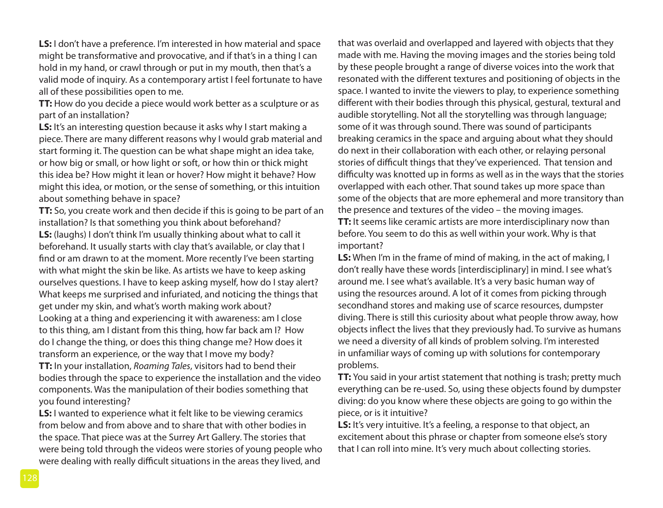**LS:** I don't have a preference. I'm interested in how material and space might be transformative and provocative, and if that's in a thing I can hold in my hand, or crawl through or put in my mouth, then that's a valid mode of inquiry. As a contemporary artist I feel fortunate to have all of these possibilities open to me.

**TT:** How do you decide a piece would work better as a sculpture or as part of an installation?

**LS:** It's an interesting question because it asks why I start making a piece. There are many different reasons why I would grab material and start forming it. The question can be what shape might an idea take, or how big or small, or how light or soft, or how thin or thick might this idea be? How might it lean or hover? How might it behave? How might this idea, or motion, or the sense of something, or this intuition about something behave in space?

**TT:** So, you create work and then decide if this is going to be part of an installation? Is that something you think about beforehand? **LS:** (laughs) I don't think I'm usually thinking about what to call it beforehand. It usually starts with clay that's available, or clay that I find or am drawn to at the moment. More recently I've been starting with what might the skin be like. As artists we have to keep asking ourselves questions. I have to keep asking myself, how do I stay alert? What keeps me surprised and infuriated, and noticing the things that get under my skin, and what's worth making work about? Looking at a thing and experiencing it with awareness: am I close to this thing, am I distant from this thing, how far back am I? How do I change the thing, or does this thing change me? How does it transform an experience, or the way that I move my body? **TT:** In your installation, *Roaming Tales*, visitors had to bend their bodies through the space to experience the installation and the video components. Was the manipulation of their bodies something that you found interesting?

**LS:** I wanted to experience what it felt like to be viewing ceramics from below and from above and to share that with other bodies in the space. That piece was at the Surrey Art Gallery. The stories that were being told through the videos were stories of young people who were dealing with really difficult situations in the areas they lived, and

that was overlaid and overlapped and layered with objects that they made with me. Having the moving images and the stories being told by these people brought a range of diverse voices into the work that resonated with the different textures and positioning of objects in the space. I wanted to invite the viewers to play, to experience something different with their bodies through this physical, gestural, textural and audible storytelling. Not all the storytelling was through language; some of it was through sound. There was sound of participants breaking ceramics in the space and arguing about what they should do next in their collaboration with each other, or relaying personal stories of difficult things that they've experienced. That tension and difficulty was knotted up in forms as well as in the ways that the stories overlapped with each other. That sound takes up more space than some of the objects that are more ephemeral and more transitory than the presence and textures of the video – the moving images. **TT:** It seems like ceramic artists are more interdisciplinary now than before. You seem to do this as well within your work. Why is that important?

**LS:** When I'm in the frame of mind of making, in the act of making, I don't really have these words [interdisciplinary] in mind. I see what's around me. I see what's available. It's a very basic human way of using the resources around. A lot of it comes from picking through secondhand stores and making use of scarce resources, dumpster diving. There is still this curiosity about what people throw away, how objects inflect the lives that they previously had. To survive as humans we need a diversity of all kinds of problem solving. I'm interested in unfamiliar ways of coming up with solutions for contemporary problems.

**TT:** You said in your artist statement that nothing is trash; pretty much everything can be re-used. So, using these objects found by dumpster diving: do you know where these objects are going to go within the piece, or is it intuitive?

**LS:** It's very intuitive. It's a feeling, a response to that object, an excitement about this phrase or chapter from someone else's story that I can roll into mine. It's very much about collecting stories.